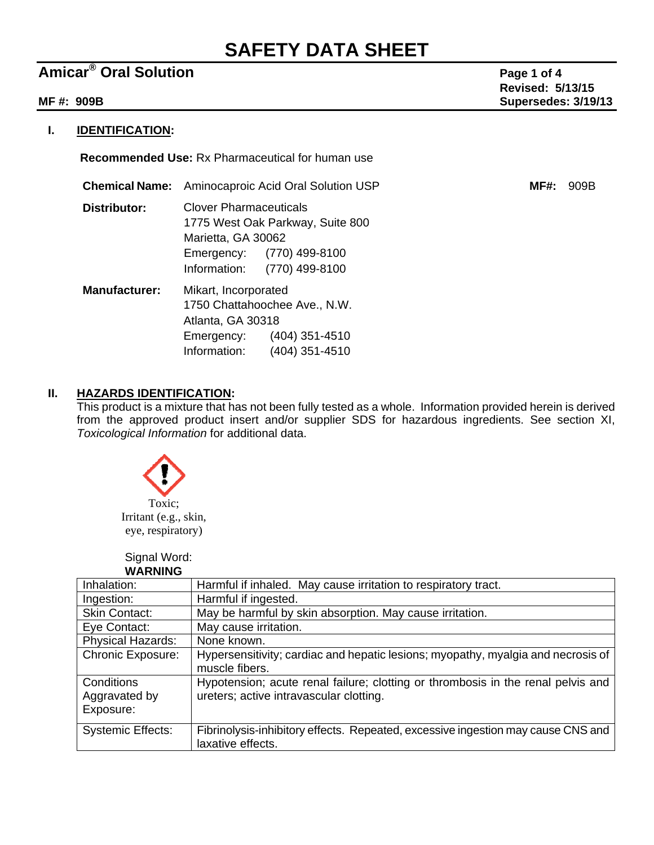# **SAFETY DATA SHEET**

## **Amicar<sup>®</sup> Oral Solution Page 1 of 4**

 **Revised: 5/13/15 MF #: 909B Supersedes: 3/19/13** 

### **I. IDENTIFICATION:**

 **Recommended Use:** Rx Pharmaceutical for human use

| <b>Chemical Name:</b> | Aminocaproic Acid Oral Solution USP                                                                                                                 | <b>MF#:</b> | 909B |
|-----------------------|-----------------------------------------------------------------------------------------------------------------------------------------------------|-------------|------|
| Distributor:          | <b>Clover Pharmaceuticals</b><br>1775 West Oak Parkway, Suite 800<br>Marietta, GA 30062<br>Emergency: (770) 499-8100<br>Information: (770) 499-8100 |             |      |
| <b>Manufacturer:</b>  | Mikart, Incorporated<br>1750 Chattahoochee Ave., N.W.<br>Atlanta, GA 30318<br>$(404)$ 351-4510<br>Emergency:<br>Information:<br>$(404)$ 351-4510    |             |      |

## **II. HAZARDS IDENTIFICATION:**

This product is a mixture that has not been fully tested as a whole. Information provided herein is derived from the approved product insert and/or supplier SDS for hazardous ingredients. See section XI, *Toxicological Information* for additional data.



 Signal Word: **WARNING**

| ,,,,,,,,,,,                              |                                                                                                                             |
|------------------------------------------|-----------------------------------------------------------------------------------------------------------------------------|
| Inhalation:                              | Harmful if inhaled. May cause irritation to respiratory tract.                                                              |
| Ingestion:                               | Harmful if ingested.                                                                                                        |
| <b>Skin Contact:</b>                     | May be harmful by skin absorption. May cause irritation.                                                                    |
| Eye Contact:                             | May cause irritation.                                                                                                       |
| Physical Hazards:                        | None known.                                                                                                                 |
| <b>Chronic Exposure:</b>                 | Hypersensitivity; cardiac and hepatic lesions; myopathy, myalgia and necrosis of<br>muscle fibers.                          |
| Conditions<br>Aggravated by<br>Exposure: | Hypotension; acute renal failure; clotting or thrombosis in the renal pelvis and<br>ureters; active intravascular clotting. |
| <b>Systemic Effects:</b>                 | Fibrinolysis-inhibitory effects. Repeated, excessive ingestion may cause CNS and<br>laxative effects.                       |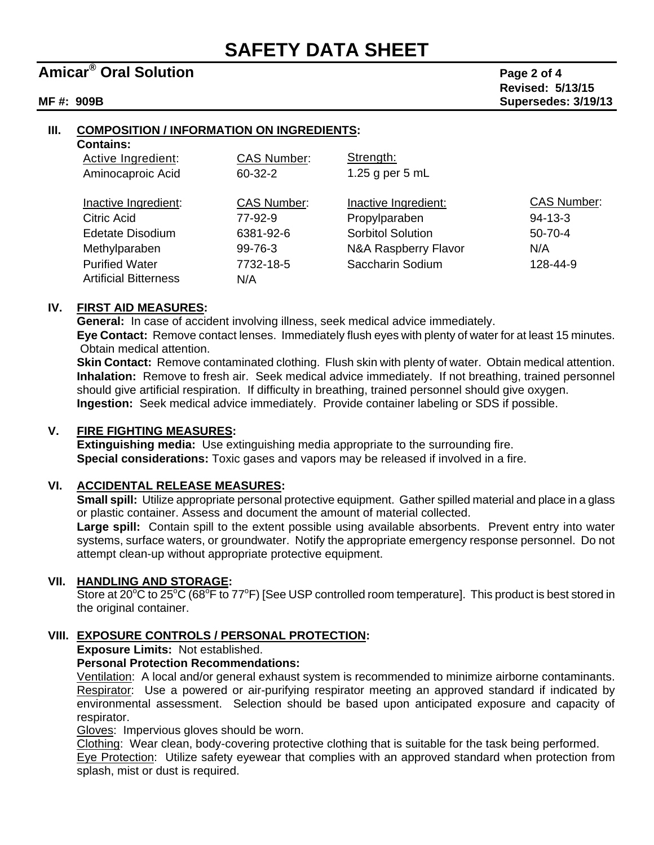## **Amicar<sup>®</sup> Oral Solution Page 2 of 4**

 **Revised: 5/13/15 MF #: 909B Supersedes: 3/19/13** 

#### **III. COMPOSITION / INFORMATION ON INGREDIENTS:**

#### **Contains:**

| Active Ingredient:           | <b>CAS Number:</b> | Strength:                |                    |
|------------------------------|--------------------|--------------------------|--------------------|
| Aminocaproic Acid            | $60 - 32 - 2$      | 1.25 g per $5$ mL        |                    |
| Inactive Ingredient:         | <b>CAS Number:</b> | Inactive Ingredient:     | <b>CAS Number:</b> |
| Citric Acid                  | 77-92-9            | Propylparaben            | $94 - 13 - 3$      |
| Edetate Disodium             | 6381-92-6          | <b>Sorbitol Solution</b> | $50 - 70 - 4$      |
| Methylparaben                | 99-76-3            | N&A Raspberry Flavor     | N/A                |
| <b>Purified Water</b>        | 7732-18-5          | Saccharin Sodium         | 128-44-9           |
| <b>Artificial Bitterness</b> | N/A                |                          |                    |

#### **IV. FIRST AID MEASURES:**

**General:** In case of accident involving illness, seek medical advice immediately.

**Eye Contact:** Remove contact lenses. Immediately flush eyes with plenty of water for at least 15 minutes. Obtain medical attention.

**Skin Contact:** Remove contaminated clothing. Flush skin with plenty of water. Obtain medical attention. **Inhalation:** Remove to fresh air. Seek medical advice immediately. If not breathing, trained personnel should give artificial respiration. If difficulty in breathing, trained personnel should give oxygen. **Ingestion:** Seek medical advice immediately. Provide container labeling or SDS if possible.

#### **V. FIRE FIGHTING MEASURES:**

 **Extinguishing media:** Use extinguishing media appropriate to the surrounding fire. **Special considerations:** Toxic gases and vapors may be released if involved in a fire.

#### **VI. ACCIDENTAL RELEASE MEASURES:**

**Small spill:** Utilize appropriate personal protective equipment. Gather spilled material and place in a glass or plastic container. Assess and document the amount of material collected.

**Large spill:** Contain spill to the extent possible using available absorbents. Prevent entry into water systems, surface waters, or groundwater. Notify the appropriate emergency response personnel. Do not attempt clean-up without appropriate protective equipment.

#### **VII. HANDLING AND STORAGE:**

Store at 20°C to 25°C (68°F to 77°F) [See USP controlled room temperature]. This product is best stored in the original container.

#### **VIII. EXPOSURE CONTROLS / PERSONAL PROTECTION:**

#### **Exposure Limits:** Not established.

### **Personal Protection Recommendations:**

Ventilation: A local and/or general exhaust system is recommended to minimize airborne contaminants. Respirator: Use a powered or air-purifying respirator meeting an approved standard if indicated by environmental assessment. Selection should be based upon anticipated exposure and capacity of respirator.

Gloves: Impervious gloves should be worn.

Clothing: Wear clean, body-covering protective clothing that is suitable for the task being performed. Eye Protection: Utilize safety eyewear that complies with an approved standard when protection from splash, mist or dust is required.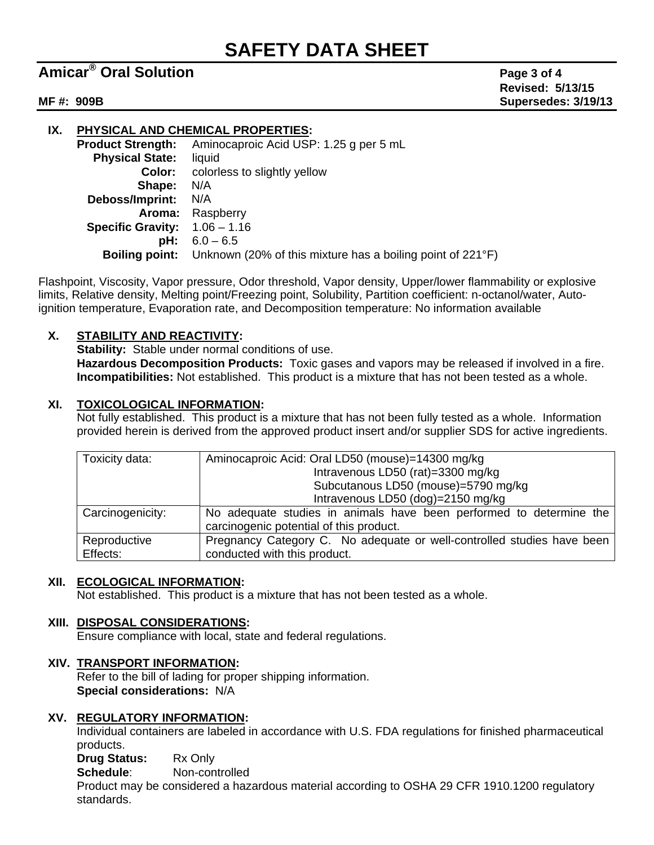# **SAFETY DATA SHEET**

## **Amicar<sup>®</sup> Oral Solution Page 3 of 4**

 **Revised: 5/13/15 MF #: 909B Supersedes: 3/19/13** 

**IX. PHYSICAL AND CHEMICAL PROPERTIES: Product Strength:** Aminocaproic Acid USP: 1.25 g per 5 mL  **Physical State:** liquid **Color:** colorless to slightly yellow **Shape:** N/A **Deboss/Imprint:** N/A **Aroma:** Raspberry  **Specific Gravity:** 1.06 – 1.16  **pH:** 6.0 – 6.5  **Boiling point:** Unknown (20% of this mixture has a boiling point of 221°F)

Flashpoint, Viscosity, Vapor pressure, Odor threshold, Vapor density, Upper/lower flammability or explosive limits, Relative density, Melting point/Freezing point, Solubility, Partition coefficient: n-octanol/water, Autoignition temperature, Evaporation rate, and Decomposition temperature: No information available

### **X. STABILITY AND REACTIVITY:**

 **Stability:** Stable under normal conditions of use.  **Hazardous Decomposition Products:** Toxic gases and vapors may be released if involved in a fire. **Incompatibilities:** Not established. This product is a mixture that has not been tested as a whole.

### **XI. TOXICOLOGICAL INFORMATION:**

Not fully established. This product is a mixture that has not been fully tested as a whole. Information provided herein is derived from the approved product insert and/or supplier SDS for active ingredients.

| Toxicity data:   | Aminocaproic Acid: Oral LD50 (mouse)=14300 mg/kg                       |  |  |  |
|------------------|------------------------------------------------------------------------|--|--|--|
|                  | Intravenous LD50 (rat)=3300 mg/kg                                      |  |  |  |
|                  | Subcutanous LD50 (mouse)=5790 mg/kg                                    |  |  |  |
|                  | Intravenous LD50 (dog)=2150 mg/kg                                      |  |  |  |
| Carcinogenicity: | No adequate studies in animals have been performed to determine the    |  |  |  |
|                  | carcinogenic potential of this product.                                |  |  |  |
| Reproductive     | Pregnancy Category C. No adequate or well-controlled studies have been |  |  |  |
| Effects:         | conducted with this product.                                           |  |  |  |

#### **XII. ECOLOGICAL INFORMATION:**

Not established. This product is a mixture that has not been tested as a whole.

#### **XIII. DISPOSAL CONSIDERATIONS:**

Ensure compliance with local, state and federal regulations.

#### **XIV. TRANSPORT INFORMATION:**

Refer to the bill of lading for proper shipping information.  **Special considerations:** N/A

#### **XV. REGULATORY INFORMATION:**

Individual containers are labeled in accordance with U.S. FDA regulations for finished pharmaceutical products.

 **Drug Status:** Rx Only

**Schedule**: Non-controlled

Product may be considered a hazardous material according to OSHA 29 CFR 1910.1200 regulatory standards.